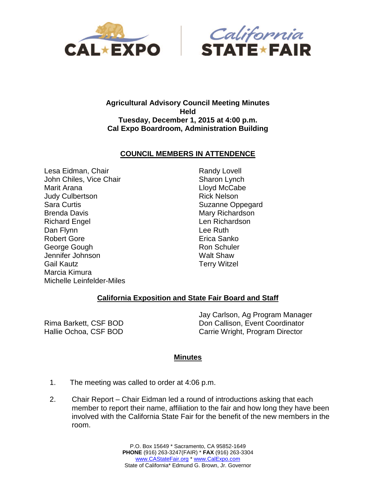



## **Agricultural Advisory Council Meeting Minutes Held Tuesday, December 1, 2015 at 4:00 p.m. Cal Expo Boardroom, Administration Building**

## **COUNCIL MEMBERS IN ATTENDENCE**

Lesa Eidman, Chair John Chiles, Vice Chair Marit Arana Judy Culbertson Sara Curtis Brenda Davis Richard Engel Dan Flynn Robert Gore George Gough Jennifer Johnson Gail Kautz Marcia Kimura Michelle Leinfelder-Miles

Randy Lovell Sharon Lynch Lloyd McCabe Rick Nelson Suzanne Oppegard Mary Richardson Len Richardson Lee Ruth Erica Sanko Ron Schuler Walt Shaw Terry Witzel

## **California Exposition and State Fair Board and Staff**

Rima Barkett, CSF BOD Hallie Ochoa, CSF BOD Jay Carlson, Ag Program Manager Don Callison, Event Coordinator Carrie Wright, Program Director

## **Minutes**

- 1. The meeting was called to order at 4:06 p.m.
- 2. Chair Report Chair Eidman led a round of introductions asking that each member to report their name, affiliation to the fair and how long they have been involved with the California State Fair for the benefit of the new members in the room.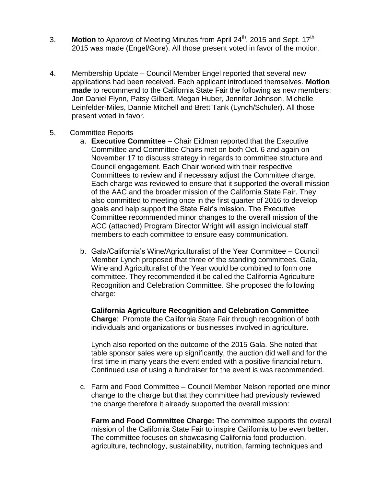- 3. **Motion** to Approve of Meeting Minutes from April 24<sup>th</sup>, 2015 and Sept. 17<sup>th</sup> 2015 was made (Engel/Gore). All those present voted in favor of the motion.
- 4. Membership Update Council Member Engel reported that several new applications had been received. Each applicant introduced themselves. **Motion made** to recommend to the California State Fair the following as new members: Jon Daniel Flynn, Patsy Gilbert, Megan Huber, Jennifer Johnson, Michelle Leinfelder-Miles, Dannie Mitchell and Brett Tank (Lynch/Schuler). All those present voted in favor.
- 5. Committee Reports
	- a. **Executive Committee** Chair Eidman reported that the Executive Committee and Committee Chairs met on both Oct. 6 and again on November 17 to discuss strategy in regards to committee structure and Council engagement. Each Chair worked with their respective Committees to review and if necessary adjust the Committee charge. Each charge was reviewed to ensure that it supported the overall mission of the AAC and the broader mission of the California State Fair. They also committed to meeting once in the first quarter of 2016 to develop goals and help support the State Fair's mission. The Executive Committee recommended minor changes to the overall mission of the ACC (attached) Program Director Wright will assign individual staff members to each committee to ensure easy communication.
	- b. Gala/California's Wine/Agriculturalist of the Year Committee Council Member Lynch proposed that three of the standing committees, Gala, Wine and Agriculturalist of the Year would be combined to form one committee. They recommended it be called the California Agriculture Recognition and Celebration Committee. She proposed the following charge:

**California Agriculture Recognition and Celebration Committee Charge**: Promote the California State Fair through recognition of both individuals and organizations or businesses involved in agriculture.

Lynch also reported on the outcome of the 2015 Gala. She noted that table sponsor sales were up significantly, the auction did well and for the first time in many years the event ended with a positive financial return. Continued use of using a fundraiser for the event is was recommended.

c. Farm and Food Committee – Council Member Nelson reported one minor change to the charge but that they committee had previously reviewed the charge therefore it already supported the overall mission:

**Farm and Food Committee Charge:** The committee supports the overall mission of the California State Fair to inspire California to be even better. The committee focuses on showcasing California food production, agriculture, technology, sustainability, nutrition, farming techniques and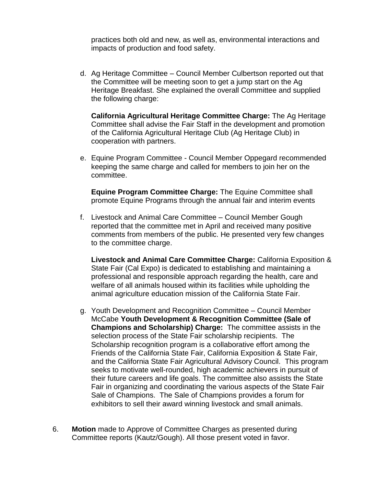practices both old and new, as well as, environmental interactions and impacts of production and food safety.

d. Ag Heritage Committee – Council Member Culbertson reported out that the Committee will be meeting soon to get a jump start on the Ag Heritage Breakfast. She explained the overall Committee and supplied the following charge:

**California Agricultural Heritage Committee Charge:** The Ag Heritage Committee shall advise the Fair Staff in the development and promotion of the California Agricultural Heritage Club (Ag Heritage Club) in cooperation with partners.

e. Equine Program Committee - Council Member Oppegard recommended keeping the same charge and called for members to join her on the committee.

**Equine Program Committee Charge:** The Equine Committee shall promote Equine Programs through the annual fair and interim events

f. Livestock and Animal Care Committee – Council Member Gough reported that the committee met in April and received many positive comments from members of the public. He presented very few changes to the committee charge.

**Livestock and Animal Care Committee Charge:** California Exposition & State Fair (Cal Expo) is dedicated to establishing and maintaining a professional and responsible approach regarding the health, care and welfare of all animals housed within its facilities while upholding the animal agriculture education mission of the California State Fair.

- g. Youth Development and Recognition Committee Council Member McCabe **Youth Development & Recognition Committee (Sale of Champions and Scholarship) Charge:** The committee assists in the selection process of the State Fair scholarship recipients. The Scholarship recognition program is a collaborative effort among the Friends of the California State Fair, California Exposition & State Fair, and the California State Fair Agricultural Advisory Council. This program seeks to motivate well-rounded, high academic achievers in pursuit of their future careers and life goals. The committee also assists the State Fair in organizing and coordinating the various aspects of the State Fair Sale of Champions. The Sale of Champions provides a forum for exhibitors to sell their award winning livestock and small animals.
- 6. **Motion** made to Approve of Committee Charges as presented during Committee reports (Kautz/Gough). All those present voted in favor.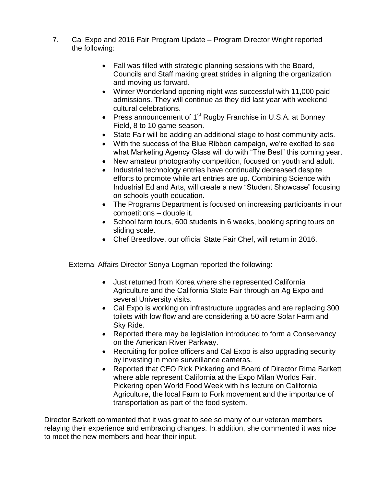- 7. Cal Expo and 2016 Fair Program Update Program Director Wright reported the following:
	- Fall was filled with strategic planning sessions with the Board, Councils and Staff making great strides in aligning the organization and moving us forward.
	- Winter Wonderland opening night was successful with 11,000 paid admissions. They will continue as they did last year with weekend cultural celebrations.
	- Press announcement of  $1<sup>st</sup>$  Rugby Franchise in U.S.A. at Bonnev Field, 8 to 10 game season.
	- State Fair will be adding an additional stage to host community acts.
	- With the success of the Blue Ribbon campaign, we're excited to see what Marketing Agency Glass will do with "The Best" this coming year.
	- New amateur photography competition, focused on youth and adult.
	- Industrial technology entries have continually decreased despite efforts to promote while art entries are up. Combining Science with Industrial Ed and Arts, will create a new "Student Showcase" focusing on schools youth education.
	- The Programs Department is focused on increasing participants in our competitions – double it.
	- School farm tours, 600 students in 6 weeks, booking spring tours on sliding scale.
	- Chef Breedlove, our official State Fair Chef, will return in 2016.

External Affairs Director Sonya Logman reported the following:

- Just returned from Korea where she represented California Agriculture and the California State Fair through an Ag Expo and several University visits.
- Cal Expo is working on infrastructure upgrades and are replacing 300 toilets with low flow and are considering a 50 acre Solar Farm and Sky Ride.
- Reported there may be legislation introduced to form a Conservancy on the American River Parkway.
- Recruiting for police officers and Cal Expo is also upgrading security by investing in more surveillance cameras.
- Reported that CEO Rick Pickering and Board of Director Rima Barkett where able represent California at the Expo Milan Worlds Fair. Pickering open World Food Week with his lecture on California Agriculture, the local Farm to Fork movement and the importance of transportation as part of the food system.

Director Barkett commented that it was great to see so many of our veteran members relaying their experience and embracing changes. In addition, she commented it was nice to meet the new members and hear their input.